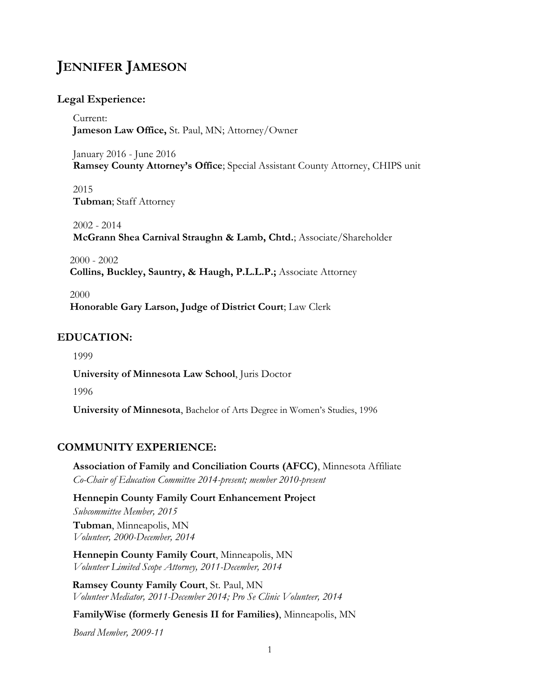# **JENNIFER JAMESON**

#### **Legal Experience:**

Current: **Jameson Law Office,** St. Paul, MN; Attorney/Owner

January 2016 - June 2016 **Ramsey County Attorney's Office**; Special Assistant County Attorney, CHIPS unit

2015 **Tubman**; Staff Attorney

2002 - 2014 **McGrann Shea Carnival Straughn & Lamb, Chtd.**; Associate/Shareholder

2000 - 2002 **Collins, Buckley, Sauntry, & Haugh, P.L.L.P.;** Associate Attorney

2000 **Honorable Gary Larson, Judge of District Court**; Law Clerk

## **EDUCATION:**

1999

**University of Minnesota Law School**, Juris Doctor

1996

**University of Minnesota**, Bachelor of Arts Degree in Women's Studies, 1996

## **COMMUNITY EXPERIENCE:**

**Association of Family and Conciliation Courts (AFCC)**, Minnesota Affiliate *Co-Chair of Education Committee 2014-present; member 2010-present*

**Hennepin County Family Court Enhancement Project** *Subcommittee Member, 2015* **Tubman**, Minneapolis, MN *Volunteer, 2000-December, 2014*

**Hennepin County Family Court**, Minneapolis, MN *Volunteer Limited Scope Attorney, 2011-December, 2014*

**Ramsey County Family Court**, St. Paul, MN *Volunteer Mediator, 2011-December 2014; Pro Se Clinic Volunteer, 2014*

#### **FamilyWise (formerly Genesis II for Families)**, Minneapolis, MN

*Board Member, 2009-11*